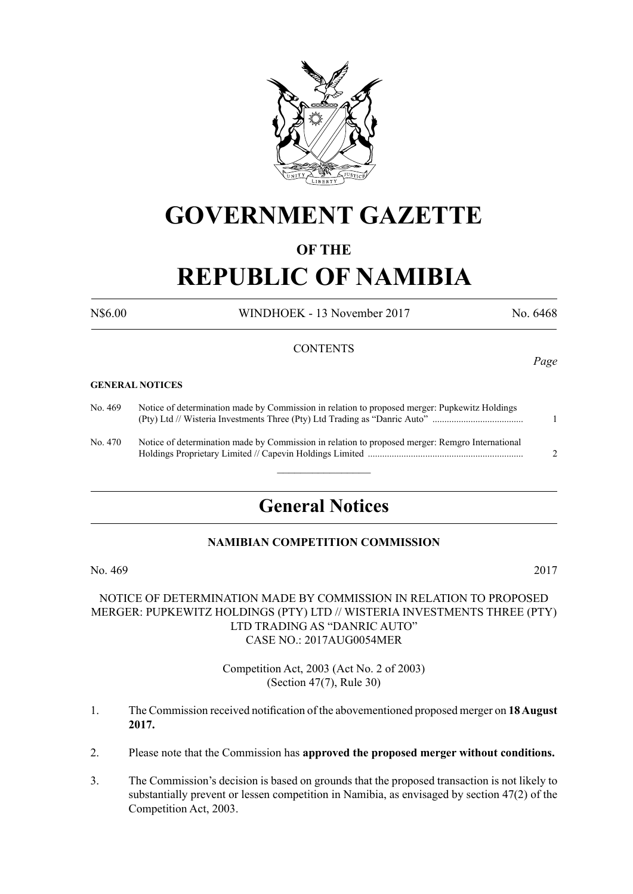

# **GOVERNMENT GAZETTE**

### **OF THE**

# **REPUBLIC OF NAMIBIA**

N\$6.00 WINDHOEK - 13 November 2017 No. 6468

#### **CONTENTS**

#### **GENERAL NOTICES**

| No. 469  | Notice of determination made by Commission in relation to proposed merger: Pupkewitz Holdings   |  |
|----------|-------------------------------------------------------------------------------------------------|--|
| No. 470- | Notice of determination made by Commission in relation to proposed merger: Remgro International |  |

## **General Notices**

 $\frac{1}{2}$ 

#### **NAMIBIAN COMPETITION COMMISSION**

No. 469 2017

#### NOTICE OF DETERMINATION MADE BY COMMISSION IN RELATION TO PROPOSED MERGER: PUPKEWITZ HOLDINGS (PTY) LTD // WISTERIA INVESTMENTS THREE (PTY) LTD TRADING AS "DANRIC AUTO" CASE NO.: 2017AUG0054MER

Competition Act, 2003 (Act No. 2 of 2003) (Section 47(7), Rule 30)

- 1. The Commission received notification of the abovementioned proposed merger on **18 August 2017.**
- 2. Please note that the Commission has **approved the proposed merger without conditions.**
- 3. The Commission's decision is based on grounds that the proposed transaction is not likely to substantially prevent or lessen competition in Namibia, as envisaged by section 47(2) of the Competition Act, 2003.

*Page*